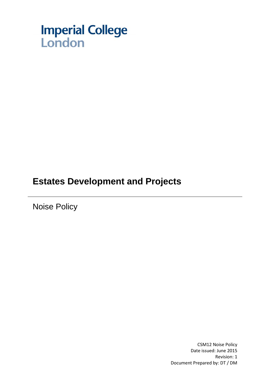

# **Estates Development and Projects**

Noise Policy

CSM12 Noise Policy Date issued: June 2015 Revision: 1 Document Prepared by: DT / DM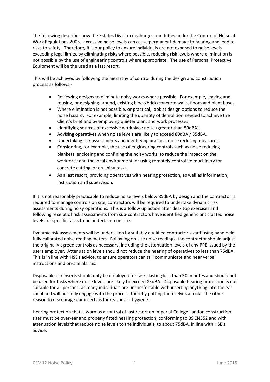The following describes how the Estates Division discharges our duties under the Control of Noise at Work Regulations 2005. Excessive noise levels can cause permanent damage to hearing and lead to risks to safety. Therefore, it is our policy to ensure individuals are not exposed to noise levels exceeding legal limits, by eliminating risks where possible, reducing risk levels where elimination is not possible by the use of engineering controls where appropriate. The use of Personal Protective Equipment will be the used as a last resort.

This will be achieved by following the hierarchy of control during the design and construction process as follows:-

- Reviewing designs to eliminate noisy works where possible. For example, leaving and reusing, or designing around, existing block/brick/concrete walls, floors and plant bases.
- Where elimination is not possible, or practical, look at design options to reduce the noise hazard. For example, limiting the quantity of demolition needed to achieve the Client's brief and by employing quieter plant and work processes.
- Identifying sources of excessive workplace noise (greater than 80dBA).
- Advising operatives when noise levels are likely to exceed 80dBA / 85dBA.
- Undertaking risk assessments and identifying practical noise reducing measures.
- Considering, for example, the use of engineering controls such as noise reducing blankets, enclosing and confining the noisy works, to reduce the impact on the workforce and the local environment, or using remotely controlled machinery for concrete cutting, or crushing tasks.
- As a last resort, providing operatives with hearing protection, as well as information, instruction and supervision.

If it is not reasonably practicable to reduce noise levels below 85dBA by design and the contractor is required to manage controls on site, contractors will be required to undertake dynamic risk assessments during noisy operations. This is a follow up action after desk top exercises and following receipt of risk assessments from sub-contractors have identified generic anticipated noise levels for specific tasks to be undertaken on site.

Dynamic risk assessments will be undertaken by suitably qualified contractor's staff using hand held, fully calibrated noise reading meters. Following on-site noise readings, the contractor should adjust the originally agreed controls as necessary, including the attenuation levels of any PPE issued by the users employer. Attenuation levels should not reduce the hearing of operatives to less than 75dBA. This is in line with HSE's advice, to ensure operators can still communicate and hear verbal instructions and on-site alarms.

Disposable ear inserts should only be employed for tasks lasting less than 30 minutes and should not be used for tasks where noise levels are likely to exceed 85dBA. Disposable hearing protection is not suitable for all persons, as many individuals are uncomfortable with inserting anything into the ear canal and will not fully engage with the process, thereby putting themselves at risk. The other reason to discourage ear inserts is for reasons of hygiene.

Hearing protection that is worn as a control of last resort on Imperial College London construction sites must be over-ear and properly fitted hearing protection, conforming to BS EN352 and with attenuation levels that reduce noise levels to the individuals, to about 75dBA, in line with HSE's advice.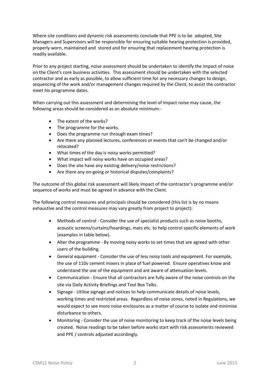Where site conditions and dynamic risk assessments conclude that PPE is to be adopted, Site Managers and Supervisors will be responsible for ensuring suitable hearing protection is provided, properly worn, maintained and stored and for ensuring that replacement hearing protection is readily available.

Prior to any project starting, noise assessment should be undertaken to identify the impact of noise on the Client's core business activities. This assessment should be undertaken with the selected contractor and as early as possible, to allow sufficient time for any necessary changes to design, sequencing of the work and/or management changes required by the Client, to assist the contractor meet his programme dates.

When carrying out this assessment and determining the level of impact noise may cause, the following areas should be considered as an absolute minimum:-

- The extent of the works?
- The programme for the works.
- Does the programme run through exam times?
- Are there any planned lectures, conferences or events that can't be changed and/or relocated?
- What times of the day is noisy works permitted?
- What impact will noisy works have on occupied areas?
- Does the site have any existing delivery/noise restrictions?
- Are there any on-going or historical disputes/complaints?

The outcome of this global risk assessment will likely impact of the contractor's programme and/or sequence of works and must be agreed in advance with the Client.

The following control measures and principals should be considered (this list is by no means exhaustive and the control measures may vary greatly from project to project):

- Methods of control Consider the use of specialist products such as noise booths, acoustic screens/curtains/hoardings, mats etc. to help control specific elements of work (examples in table below).
- Alter the programme By moving noisy works to set times that are agreed with other users of the building.
- General equipment Consider the use of less noisy tools and equipment. For example, the use of 110v cement mixers in place of fuel powered. Ensure operatives know and understand the use of the equipment and are aware of attenuation levels.
- Communication Ensure that all contractors are fully aware of the noise controls on the site via Daily Activity Briefings and Tool Box Talks.
- Signage Utilise signage and notices to help communicate details of noise levels, working times and restricted areas. Regardless of noise zones, noted in Regulations, we would expect to see more noise enclosures as a matter of course to isolate and minimise disturbance to others.
- Monitoring Consider the use of noise monitoring to keep track of the noise levels being created. Noise readings to be taken before works start with risk assessments reviewed and PPE / controls adjusted accordingly.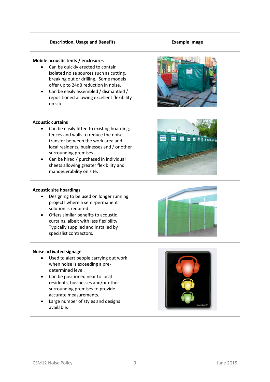## **Description, Usage and Benefits Example image**

### **Mobile acoustic tents / enclosures**

- Can be quickly erected to contain isolated noise sources such as cutting, breaking out or drilling. Some models offer up to 24dB reduction in noise.
- Can be easily assembled / dismantled / repositioned allowing excellent flexibility on site.

#### **Acoustic curtains**

- Can be easily fitted to existing hoarding, fences and walls to reduce the noise transfer between the work area and local residents, businesses and / or other surrounding premises.
- Can be hired / purchased in individual sheets allowing greater flexibility and manoeuvrability on site.

#### **Acoustic site hoardings**

- Designing to be used on longer running projects where a semi-permanent solution is required.
- Offers similar benefits to acoustic curtains, albeit with less flexibility. Typically supplied and installed by specialist contractors.

#### **Noise activated signage**

- Used to alert people carrying out work when noise is exceeding a predetermined level.
- Can be positioned near to local residents, businesses and/or other surrounding premises to provide accurate measurements.
- Large number of styles and designs available.









CSM12 Noise Policy 3 June 2015